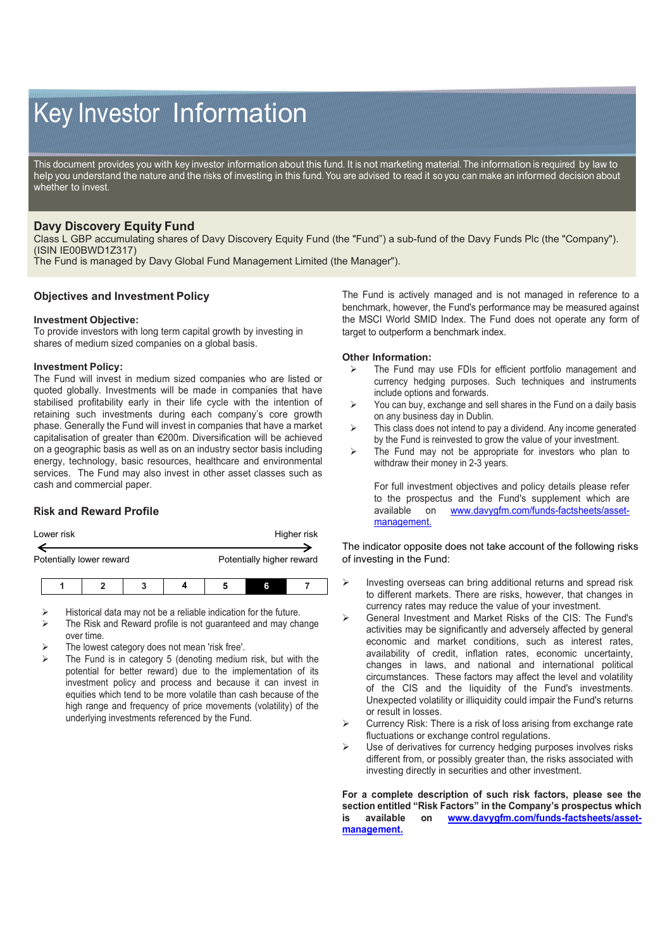# Key Investor Information

This document provides you with key investor information about this fund. It is not marketing material. The information is required by law to help you understand the nature and the risks of investing in this fund. You are advised to read it so you can make an informed decision about whether to invest.

## **Davy Discovery Equity Fund**

Class L GBP accumulating shares of Davy Discovery Equity Fund (the "Fund") a sub-fund of the Davy Funds Plc (the "Company"). (ISIN IE00BWD1Z317)

The Fund is managed by Davy Global Fund Management Limited (the Manager").

## **Objectives and Investment Policy**

#### **Investment Objective:**

To provide investors with long term capital growth by investing in shares of medium sized companies on a global basis.

#### **Investment Policy:**

The Fund will invest in medium sized companies who are listed or quoted globally. Investments will be made in companies that have stabilised profitability early in their life cycle with the intention of retaining such investments during each company's core growth phase. Generally the Fund will invest in companies that have a market capitalisation of greater than €200m. Diversification will be achieved on a geographic basis as well as on an industry sector basis including energy, technology, basic resources, healthcare and environmental services. The Fund may also invest in other asset classes such as cash and commercial paper.

## **Risk and Reward Profile**

| Lower risk | Higher risk |
|------------|-------------|
|            |             |

Potentially lower reward **Potentially higher reward** 

- Historical data may not be a reliable indication for the future.
- The Risk and Reward profile is not guaranteed and may change over time.
- The lowest category does not mean 'risk free'.
- The Fund is in category 5 (denoting medium risk, but with the potential for better reward) due to the implementation of its investment policy and process and because it can invest in equities which tend to be more volatile than cash because of the high range and frequency of price movements (volatility) of the underlying investments referenced by the Fund.

The Fund is actively managed and is not managed in reference to a benchmark, however, the Fund's performance may be measured against the MSCI World SMID Index. The Fund does not operate any form of target to outperform a benchmark index.

#### **Other Information:**

- $\triangleright$  The Fund may use FDIs for efficient portfolio management and currency hedging purposes. Such techniques and instruments include options and forwards.
- $\triangleright$  You can buy, exchange and sell shares in the Fund on a daily basis on any business day in Dublin.
- $\triangleright$  This class does not intend to pay a dividend. Any income generated by the Fund is reinvested to grow the value of your investment.
- $\triangleright$  The Fund may not be appropriate for investors who plan to withdraw their money in 2-3 years.

For full investment objectives and policy details please refer to the prospectus and the Fund's supplement which are available on www.davvafm.com/funds-factsheets/asset[www.davygfm.com/funds-factsheets/asset](http://www.davygfm.com/funds-factsheets/asset-management.)[management.](http://www.davygfm.com/funds-factsheets/asset-management.)

The indicator opposite does not take account of the following risks of investing in the Fund:

- $\triangleright$  Investing overseas can bring additional returns and spread risk to different markets. There are risks, however, that changes in currency rates may reduce the value of your investment.
- General Investment and Market Risks of the CIS: The Fund's activities may be significantly and adversely affected by general economic and market conditions, such as interest rates, availability of credit, inflation rates, economic uncertainty, changes in laws, and national and international political circumstances. These factors may affect the level and volatility of the CIS and the liquidity of the Fund's investments. Unexpected volatility or illiquidity could impair the Fund's returns or result in losses.
- $\triangleright$  Currency Risk: There is a risk of loss arising from exchange rate fluctuations or exchange control regulations.
- Use of derivatives for currency hedging purposes involves risks different from, or possibly greater than, the risks associated with investing directly in securities and other investment.

**For a complete description of such risk factors, please see the section entitled "Risk Factors" in the Company's prospectus which is available on [www.davygfm.com/funds-factsheets/asset](http://www.davygfm.com/funds-factsheets/asset-management.)[management.](http://www.davygfm.com/funds-factsheets/asset-management.)**